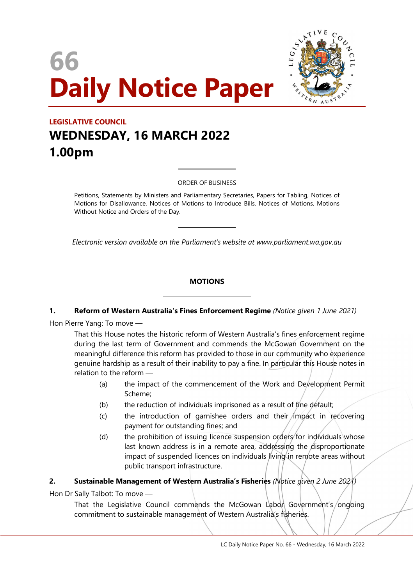# 66 Daily Notice Paper



# LEGISLATIVE COUNCIL WEDNESDAY, 16 MARCH 2022 1.00pm

ORDER OF BUSINESS

 $\overline{a}$ 

 $\overline{a}$ 

 $\overline{a}$ 

 $\overline{a}$ 

Petitions, Statements by Ministers and Parliamentary Secretaries, Papers for Tabling, Notices of Motions for Disallowance, Notices of Motions to Introduce Bills, Notices of Motions, Motions Without Notice and Orders of the Day.

Electronic version available on the Parliament's website at www.parliament.wa.gov.au

# **MOTIONS**

#### 1. Reform of Western Australia's Fines Enforcement Regime (Notice given 1 June 2021)

Hon Pierre Yang: To move —

That this House notes the historic reform of Western Australia's fines enforcement regime during the last term of Government and commends the McGowan Government on the meaningful difference this reform has provided to those in our community who experience genuine hardship as a result of their inability to pay a fine. In particular this House notes in relation to the reform —

- (a) the impact of the commencement of the Work and Development Permit Scheme;
- (b) the reduction of individuals imprisoned as a result of fine default;
- $(c)$  the introduction of garnishee orders and their impact in recovering payment for outstanding fines; and
- (d) the prohibition of issuing licence suspension orders for individuals whose last known address is in a remote area, addressing the disproportionate impact of suspended licences on individuals living in remote areas without public transport infrastructure.

#### 2. Sustainable Management of Western Australia's Fisheries (Notice given 2 June 2021)

Hon Dr Sally Talbot: To move —

That the Legislative Council commends the McGowan Labon Government's/ongoing commitment to sustainable management of Western Australia's fisheries.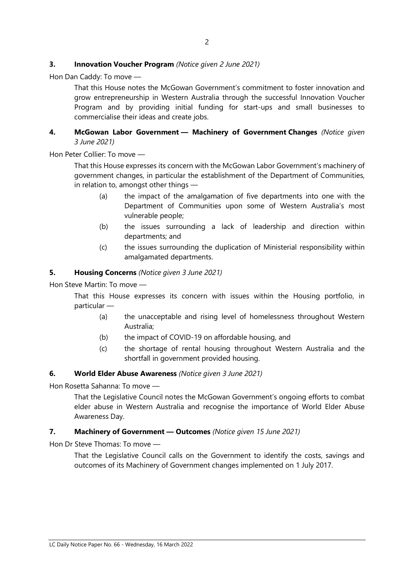# **3.** Innovation Voucher Program (Notice given 2 June 2021)

Hon Dan Caddy: To move —

That this House notes the McGowan Government's commitment to foster innovation and grow entrepreneurship in Western Australia through the successful Innovation Voucher Program and by providing initial funding for start-ups and small businesses to commercialise their ideas and create jobs.

### 4. McGowan Labor Government - Machinery of Government Changes (Notice given 3 June 2021)

Hon Peter Collier: To move —

That this House expresses its concern with the McGowan Labor Government's machinery of government changes, in particular the establishment of the Department of Communities, in relation to, amongst other things —

- (a) the impact of the amalgamation of five departments into one with the Department of Communities upon some of Western Australia's most vulnerable people;
- (b) the issues surrounding a lack of leadership and direction within departments; and
- (c) the issues surrounding the duplication of Ministerial responsibility within amalgamated departments.

#### 5. Housing Concerns (Notice given 3 June 2021)

Hon Steve Martin: To move —

That this House expresses its concern with issues within the Housing portfolio, in particular —

- (a) the unacceptable and rising level of homelessness throughout Western Australia;
- (b) the impact of COVID-19 on affordable housing, and
- (c) the shortage of rental housing throughout Western Australia and the shortfall in government provided housing.

#### 6. World Elder Abuse Awareness (Notice given 3 June 2021)

Hon Rosetta Sahanna: To move —

That the Legislative Council notes the McGowan Government's ongoing efforts to combat elder abuse in Western Australia and recognise the importance of World Elder Abuse Awareness Day.

#### 7. Machinery of Government - Outcomes (Notice given 15 June 2021)

Hon Dr Steve Thomas: To move —

That the Legislative Council calls on the Government to identify the costs, savings and outcomes of its Machinery of Government changes implemented on 1 July 2017.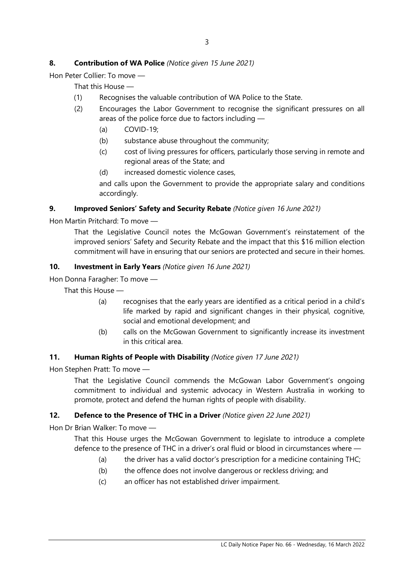# 8. Contribution of WA Police (Notice given 15 June 2021)

Hon Peter Collier: To move —

That this House —

- (1) Recognises the valuable contribution of WA Police to the State.
- (2) Encourages the Labor Government to recognise the significant pressures on all areas of the police force due to factors including —
	- (a) COVID-19;
	- (b) substance abuse throughout the community;
	- (c) cost of living pressures for officers, particularly those serving in remote and regional areas of the State; and
	- (d) increased domestic violence cases,

and calls upon the Government to provide the appropriate salary and conditions accordingly.

# 9. Improved Seniors' Safety and Security Rebate (Notice given 16 June 2021)

Hon Martin Pritchard: To move —

That the Legislative Council notes the McGowan Government's reinstatement of the improved seniors' Safety and Security Rebate and the impact that this \$16 million election commitment will have in ensuring that our seniors are protected and secure in their homes.

# 10. Investment in Early Years (Notice given 16 June 2021)

Hon Donna Faragher: To move —

That this House —

- (a) recognises that the early years are identified as a critical period in a child's life marked by rapid and significant changes in their physical, cognitive, social and emotional development; and
- (b) calls on the McGowan Government to significantly increase its investment in this critical area.

#### 11. Human Rights of People with Disability (Notice given 17 June 2021)

Hon Stephen Pratt: To move —

That the Legislative Council commends the McGowan Labor Government's ongoing commitment to individual and systemic advocacy in Western Australia in working to promote, protect and defend the human rights of people with disability.

# 12. Defence to the Presence of THC in a Driver (Notice given 22 June 2021)

Hon Dr Brian Walker: To move —

That this House urges the McGowan Government to legislate to introduce a complete defence to the presence of THC in a driver's oral fluid or blood in circumstances where —

- (a) the driver has a valid doctor's prescription for a medicine containing THC;
- (b) the offence does not involve dangerous or reckless driving; and
- (c) an officer has not established driver impairment.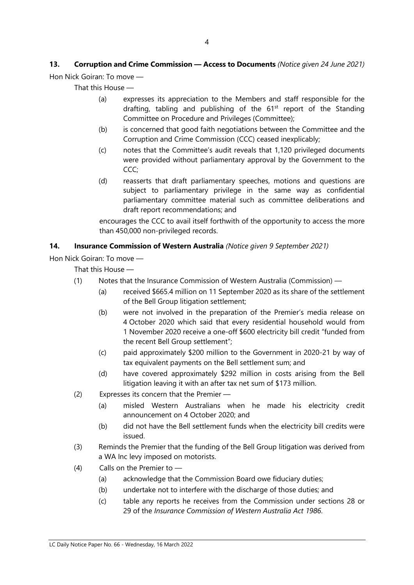# 13. Corruption and Crime Commission - Access to Documents (Notice given 24 June 2021)

Hon Nick Goiran: To move —

That this House —

- (a) expresses its appreciation to the Members and staff responsible for the drafting, tabling and publishing of the  $61<sup>st</sup>$  report of the Standing Committee on Procedure and Privileges (Committee);
- (b) is concerned that good faith negotiations between the Committee and the Corruption and Crime Commission (CCC) ceased inexplicably;
- (c) notes that the Committee's audit reveals that 1,120 privileged documents were provided without parliamentary approval by the Government to the CCC;
- (d) reasserts that draft parliamentary speeches, motions and questions are subject to parliamentary privilege in the same way as confidential parliamentary committee material such as committee deliberations and draft report recommendations; and

encourages the CCC to avail itself forthwith of the opportunity to access the more than 450,000 non-privileged records.

# 14. Insurance Commission of Western Australia (Notice given 9 September 2021)

Hon Nick Goiran: To move —

That this House —

- (1) Notes that the Insurance Commission of Western Australia (Commission)
	- (a) received \$665.4 million on 11 September 2020 as its share of the settlement of the Bell Group litigation settlement;
	- (b) were not involved in the preparation of the Premier's media release on 4 October 2020 which said that every residential household would from 1 November 2020 receive a one-off \$600 electricity bill credit "funded from the recent Bell Group settlement";
	- (c) paid approximately \$200 million to the Government in 2020-21 by way of tax equivalent payments on the Bell settlement sum; and
	- (d) have covered approximately \$292 million in costs arising from the Bell litigation leaving it with an after tax net sum of \$173 million.
- (2) Expresses its concern that the Premier
	- (a) misled Western Australians when he made his electricity credit announcement on 4 October 2020; and
	- (b) did not have the Bell settlement funds when the electricity bill credits were issued.
- (3) Reminds the Premier that the funding of the Bell Group litigation was derived from a WA Inc levy imposed on motorists.
- (4) Calls on the Premier to
	- (a) acknowledge that the Commission Board owe fiduciary duties;
	- (b) undertake not to interfere with the discharge of those duties; and
	- (c) table any reports he receives from the Commission under sections 28 or 29 of the Insurance Commission of Western Australia Act 1986.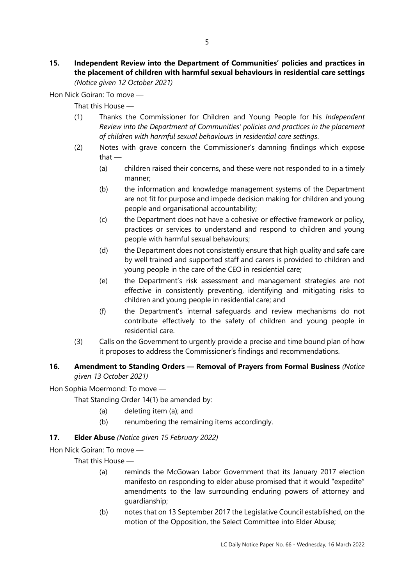#### 15. Independent Review into the Department of Communities' policies and practices in the placement of children with harmful sexual behaviours in residential care settings (Notice given 12 October 2021)

Hon Nick Goiran: To move —

That this House —

- (1) Thanks the Commissioner for Children and Young People for his Independent Review into the Department of Communities' policies and practices in the placement of children with harmful sexual behaviours in residential care settings.
- (2) Notes with grave concern the Commissioner's damning findings which expose that —
	- (a) children raised their concerns, and these were not responded to in a timely manner;
	- (b) the information and knowledge management systems of the Department are not fit for purpose and impede decision making for children and young people and organisational accountability;
	- (c) the Department does not have a cohesive or effective framework or policy, practices or services to understand and respond to children and young people with harmful sexual behaviours;
	- (d) the Department does not consistently ensure that high quality and safe care by well trained and supported staff and carers is provided to children and young people in the care of the CEO in residential care;
	- (e) the Department's risk assessment and management strategies are not effective in consistently preventing, identifying and mitigating risks to children and young people in residential care; and
	- (f) the Department's internal safeguards and review mechanisms do not contribute effectively to the safety of children and young people in residential care.
- (3) Calls on the Government to urgently provide a precise and time bound plan of how it proposes to address the Commissioner's findings and recommendations.

# 16. Amendment to Standing Orders - Removal of Prayers from Formal Business (Notice given 13 October 2021)

Hon Sophia Moermond: To move —

That Standing Order 14(1) be amended by:

- (a) deleting item (a); and
- (b) renumbering the remaining items accordingly.

# 17. **Elder Abuse** (Notice given 15 February 2022)

Hon Nick Goiran: To move —

That this House —

- (a) reminds the McGowan Labor Government that its January 2017 election manifesto on responding to elder abuse promised that it would "expedite" amendments to the law surrounding enduring powers of attorney and guardianship;
- (b) notes that on 13 September 2017 the Legislative Council established, on the motion of the Opposition, the Select Committee into Elder Abuse;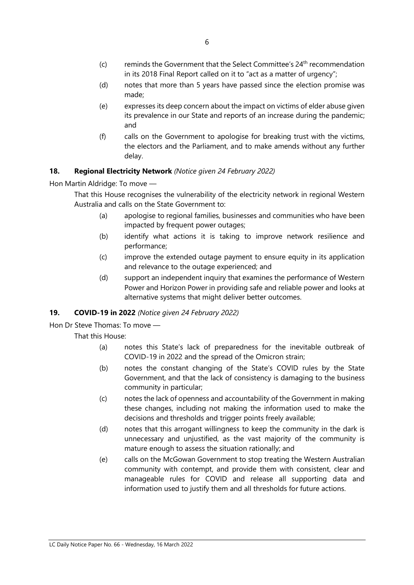- $(c)$  reminds the Government that the Select Committee's  $24<sup>th</sup>$  recommendation in its 2018 Final Report called on it to "act as a matter of urgency";
- (d) notes that more than 5 years have passed since the election promise was made;
- (e) expresses its deep concern about the impact on victims of elder abuse given its prevalence in our State and reports of an increase during the pandemic; and
- (f) calls on the Government to apologise for breaking trust with the victims, the electors and the Parliament, and to make amends without any further delay.

# 18. Regional Electricity Network (Notice given 24 February 2022)

Hon Martin Aldridge: To move —

That this House recognises the vulnerability of the electricity network in regional Western Australia and calls on the State Government to:

- (a) apologise to regional families, businesses and communities who have been impacted by frequent power outages;
- (b) identify what actions it is taking to improve network resilience and performance;
- (c) improve the extended outage payment to ensure equity in its application and relevance to the outage experienced; and
- (d) support an independent inquiry that examines the performance of Western Power and Horizon Power in providing safe and reliable power and looks at alternative systems that might deliver better outcomes.

# 19. COVID-19 in 2022 (Notice given 24 February 2022)

Hon Dr Steve Thomas: To move —

That this House:

- (a) notes this State's lack of preparedness for the inevitable outbreak of COVID-19 in 2022 and the spread of the Omicron strain;
- (b) notes the constant changing of the State's COVID rules by the State Government, and that the lack of consistency is damaging to the business community in particular;
- (c) notes the lack of openness and accountability of the Government in making these changes, including not making the information used to make the decisions and thresholds and trigger points freely available;
- (d) notes that this arrogant willingness to keep the community in the dark is unnecessary and unjustified, as the vast majority of the community is mature enough to assess the situation rationally; and
- (e) calls on the McGowan Government to stop treating the Western Australian community with contempt, and provide them with consistent, clear and manageable rules for COVID and release all supporting data and information used to justify them and all thresholds for future actions.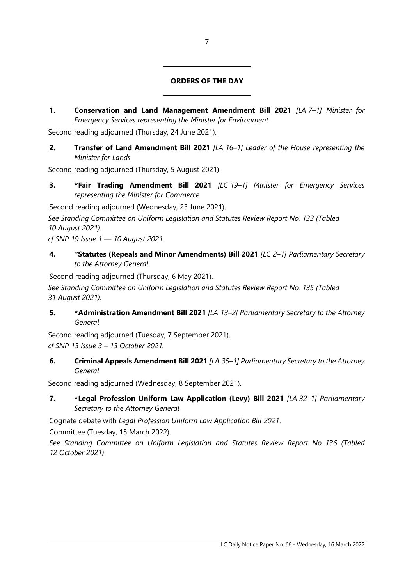# ORDERS OF THE DAY

1. Conservation and Land Management Amendment Bill 2021 [LA 7-1] Minister for Emergency Services representing the Minister for Environment

Second reading adjourned (Thursday, 24 June 2021).

 $\overline{a}$ 

 $\overline{a}$ 

2. Transfer of Land Amendment Bill 2021 [LA 16-1] Leader of the House representing the Minister for Lands

Second reading adjourned (Thursday, 5 August 2021).

3. \*Fair Trading Amendment Bill 2021 [LC 19-1] Minister for Emergency Services representing the Minister for Commerce

Second reading adjourned (Wednesday, 23 June 2021).

See Standing Committee on Uniform Legislation and Statutes Review Report No. 133 (Tabled 10 August 2021).

cf SNP 19 Issue 1 — 10 August 2021.

4. \* \*Statutes (Repeals and Minor Amendments) Bill 2021 [LC 2-1] Parliamentary Secretary to the Attorney General

Second reading adjourned (Thursday, 6 May 2021).

See Standing Committee on Uniform Legislation and Statutes Review Report No. 135 (Tabled 31 August 2021).

5. \* Administration Amendment Bill 2021 [LA 13-2] Parliamentary Secretary to the Attorney General

Second reading adjourned (Tuesday, 7 September 2021). cf SNP 13 Issue 3 – 13 October 2021.

6. Criminal Appeals Amendment Bill 2021 [LA 35-1] Parliamentary Secretary to the Attorney General

Second reading adjourned (Wednesday, 8 September 2021).

7. \*Legal Profession Uniform Law Application (Levy) Bill 2021 [LA 32-1] Parliamentary Secretary to the Attorney General

Cognate debate with Legal Profession Uniform Law Application Bill 2021.

Committee (Tuesday, 15 March 2022).

See Standing Committee on Uniform Legislation and Statutes Review Report No. 136 (Tabled 12 October 2021).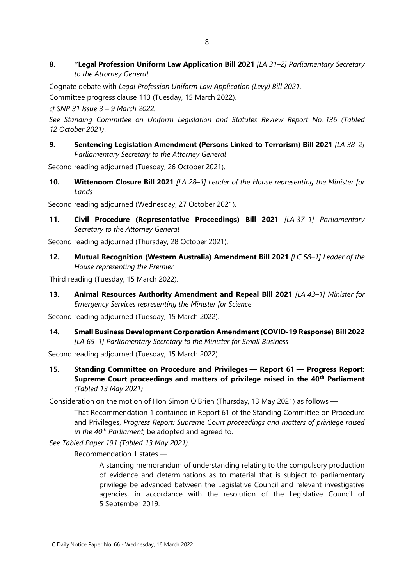8. \*Legal Profession Uniform Law Application Bill 2021 [LA 31-2] Parliamentary Secretary to the Attorney General

Cognate debate with Legal Profession Uniform Law Application (Levy) Bill 2021.

Committee progress clause 113 (Tuesday, 15 March 2022).

cf SNP 31 Issue 3 – 9 March 2022.

See Standing Committee on Uniform Legislation and Statutes Review Report No. 136 (Tabled 12 October 2021).

9. Sentencing Legislation Amendment (Persons Linked to Terrorism) Bill 2021 [LA 38-2] Parliamentary Secretary to the Attorney General

Second reading adjourned (Tuesday, 26 October 2021).

10. Wittenoom Closure Bill 2021 [LA 28-1] Leader of the House representing the Minister for Lands

Second reading adjourned (Wednesday, 27 October 2021).

11. Civil Procedure (Representative Proceedings) Bill 2021 [LA 37-1] Parliamentary Secretary to the Attorney General

Second reading adjourned (Thursday, 28 October 2021).

12. Mutual Recognition (Western Australia) Amendment Bill 2021 [LC 58-1] Leader of the House representing the Premier

Third reading (Tuesday, 15 March 2022).

13. Animal Resources Authority Amendment and Repeal Bill 2021 [LA 43-1] Minister for Emergency Services representing the Minister for Science

Second reading adjourned (Tuesday, 15 March 2022).

14. Small Business Development Corporation Amendment (COVID-19 Response) Bill 2022 [LA 65-1] Parliamentary Secretary to the Minister for Small Business

Second reading adjourned (Tuesday, 15 March 2022).

15. Standing Committee on Procedure and Privileges — Report 61 — Progress Report: Supreme Court proceedings and matters of privilege raised in the 40<sup>th</sup> Parliament (Tabled 13 May 2021)

Consideration on the motion of Hon Simon O'Brien (Thursday, 13 May 2021) as follows —

That Recommendation 1 contained in Report 61 of the Standing Committee on Procedure and Privileges, Progress Report: Supreme Court proceedings and matters of privilege raised in the  $40^{th}$  Parliament, be adopted and agreed to.

See Tabled Paper 191 (Tabled 13 May 2021).

Recommendation 1 states —

A standing memorandum of understanding relating to the compulsory production of evidence and determinations as to material that is subject to parliamentary privilege be advanced between the Legislative Council and relevant investigative agencies, in accordance with the resolution of the Legislative Council of 5 September 2019.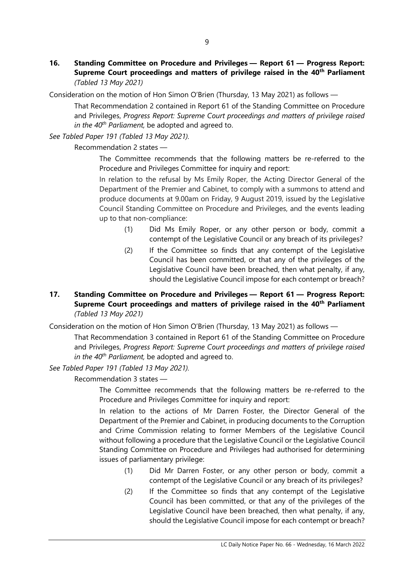16. Standing Committee on Procedure and Privileges — Report 61 — Progress Report: Supreme Court proceedings and matters of privilege raised in the 40<sup>th</sup> Parliament (Tabled 13 May 2021)

Consideration on the motion of Hon Simon O'Brien (Thursday, 13 May 2021) as follows —

That Recommendation 2 contained in Report 61 of the Standing Committee on Procedure and Privileges, Progress Report: Supreme Court proceedings and matters of privilege raised in the  $40<sup>th</sup>$  Parliament, be adopted and agreed to.

See Tabled Paper 191 (Tabled 13 May 2021).

Recommendation 2 states —

The Committee recommends that the following matters be re-referred to the Procedure and Privileges Committee for inquiry and report:

In relation to the refusal by Ms Emily Roper, the Acting Director General of the Department of the Premier and Cabinet, to comply with a summons to attend and produce documents at 9.00am on Friday, 9 August 2019, issued by the Legislative Council Standing Committee on Procedure and Privileges, and the events leading up to that non-compliance:

- (1) Did Ms Emily Roper, or any other person or body, commit a contempt of the Legislative Council or any breach of its privileges?
- (2) If the Committee so finds that any contempt of the Legislative Council has been committed, or that any of the privileges of the Legislative Council have been breached, then what penalty, if any, should the Legislative Council impose for each contempt or breach?

# 17. Standing Committee on Procedure and Privileges — Report 61 — Progress Report: Supreme Court proceedings and matters of privilege raised in the 40<sup>th</sup> Parliament (Tabled 13 May 2021)

Consideration on the motion of Hon Simon O'Brien (Thursday, 13 May 2021) as follows —

That Recommendation 3 contained in Report 61 of the Standing Committee on Procedure and Privileges, Progress Report: Supreme Court proceedings and matters of privilege raised in the  $40^{th}$  Parliament, be adopted and agreed to.

See Tabled Paper 191 (Tabled 13 May 2021).

Recommendation 3 states —

The Committee recommends that the following matters be re-referred to the Procedure and Privileges Committee for inquiry and report:

In relation to the actions of Mr Darren Foster, the Director General of the Department of the Premier and Cabinet, in producing documents to the Corruption and Crime Commission relating to former Members of the Legislative Council without following a procedure that the Legislative Council or the Legislative Council Standing Committee on Procedure and Privileges had authorised for determining issues of parliamentary privilege:

- (1) Did Mr Darren Foster, or any other person or body, commit a contempt of the Legislative Council or any breach of its privileges?
- (2) If the Committee so finds that any contempt of the Legislative Council has been committed, or that any of the privileges of the Legislative Council have been breached, then what penalty, if any, should the Legislative Council impose for each contempt or breach?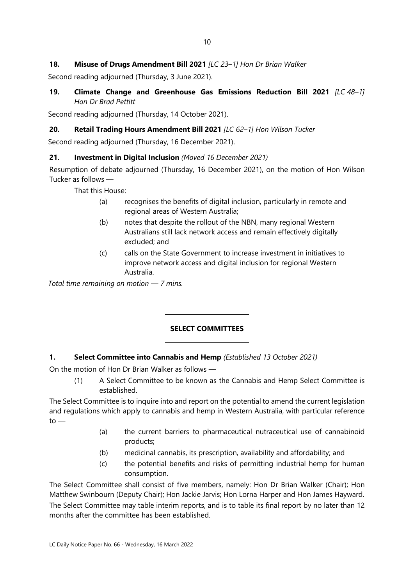# 18. Misuse of Drugs Amendment Bill 2021 [LC 23-1] Hon Dr Brian Walker

Second reading adjourned (Thursday, 3 June 2021).

19. Climate Change and Greenhouse Gas Emissions Reduction Bill 2021 [LC 48-1] Hon Dr Brad Pettitt

Second reading adjourned (Thursday, 14 October 2021).

# 20. Retail Trading Hours Amendment Bill 2021 [LC 62-1] Hon Wilson Tucker

Second reading adjourned (Thursday, 16 December 2021).

# 21. Investment in Digital Inclusion (Moved 16 December 2021)

Resumption of debate adjourned (Thursday, 16 December 2021), on the motion of Hon Wilson Tucker as follows —

That this House:

- (a) recognises the benefits of digital inclusion, particularly in remote and regional areas of Western Australia;
- (b) notes that despite the rollout of the NBN, many regional Western Australians still lack network access and remain effectively digitally excluded; and
- (c) calls on the State Government to increase investment in initiatives to improve network access and digital inclusion for regional Western Australia.

Total time remaining on motion — 7 mins.

# SELECT COMMITTEES

# 1. Select Committee into Cannabis and Hemp (Established 13 October 2021)

 $\overline{a}$ 

 $\overline{a}$ 

On the motion of Hon Dr Brian Walker as follows —

(1) A Select Committee to be known as the Cannabis and Hemp Select Committee is established.

The Select Committee is to inquire into and report on the potential to amend the current legislation and regulations which apply to cannabis and hemp in Western Australia, with particular reference  $to -$ 

- (a) the current barriers to pharmaceutical nutraceutical use of cannabinoid products;
- (b) medicinal cannabis, its prescription, availability and affordability; and
- (c) the potential benefits and risks of permitting industrial hemp for human consumption.

The Select Committee shall consist of five members, namely: Hon Dr Brian Walker (Chair); Hon Matthew Swinbourn (Deputy Chair); Hon Jackie Jarvis; Hon Lorna Harper and Hon James Hayward. The Select Committee may table interim reports, and is to table its final report by no later than 12 months after the committee has been established.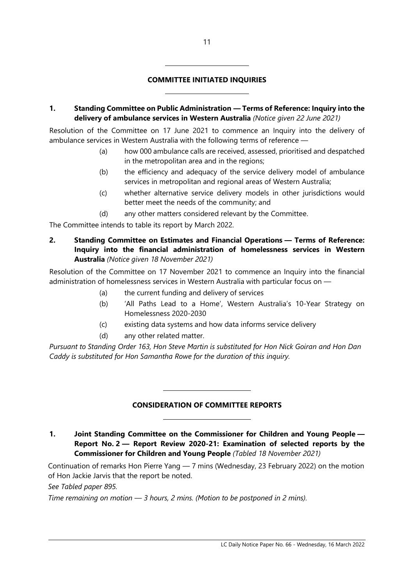### COMMITTEE INITIATED INQUIRIES

 $\overline{a}$ 

 $\overline{a}$ 

1. Standing Committee on Public Administration — Terms of Reference: Inquiry into the delivery of ambulance services in Western Australia (Notice given 22 June 2021)

Resolution of the Committee on 17 June 2021 to commence an Inquiry into the delivery of ambulance services in Western Australia with the following terms of reference —

- (a) how 000 ambulance calls are received, assessed, prioritised and despatched in the metropolitan area and in the regions;
- (b) the efficiency and adequacy of the service delivery model of ambulance services in metropolitan and regional areas of Western Australia;
- (c) whether alternative service delivery models in other jurisdictions would better meet the needs of the community; and
- (d) any other matters considered relevant by the Committee.

The Committee intends to table its report by March 2022.

2. Standing Committee on Estimates and Financial Operations — Terms of Reference: Inquiry into the financial administration of homelessness services in Western Australia (Notice given 18 November 2021)

Resolution of the Committee on 17 November 2021 to commence an Inquiry into the financial administration of homelessness services in Western Australia with particular focus on —

- (a) the current funding and delivery of services
- (b) 'All Paths Lead to a Home', Western Australia's 10-Year Strategy on Homelessness 2020-2030
- (c) existing data systems and how data informs service delivery
- (d) any other related matter.

 $\overline{a}$ 

 $\overline{a}$ 

Pursuant to Standing Order 163, Hon Steve Martin is substituted for Hon Nick Goiran and Hon Dan Caddy is substituted for Hon Samantha Rowe for the duration of this inquiry.

#### CONSIDERATION OF COMMITTEE REPORTS

1. Joint Standing Committee on the Commissioner for Children and Young People — Report No. 2 — Report Review 2020-21: Examination of selected reports by the Commissioner for Children and Young People (Tabled 18 November 2021)

Continuation of remarks Hon Pierre Yang — 7 mins (Wednesday, 23 February 2022) on the motion of Hon Jackie Jarvis that the report be noted.

See Tabled paper 895.

Time remaining on motion — 3 hours, 2 mins. (Motion to be postponed in 2 mins).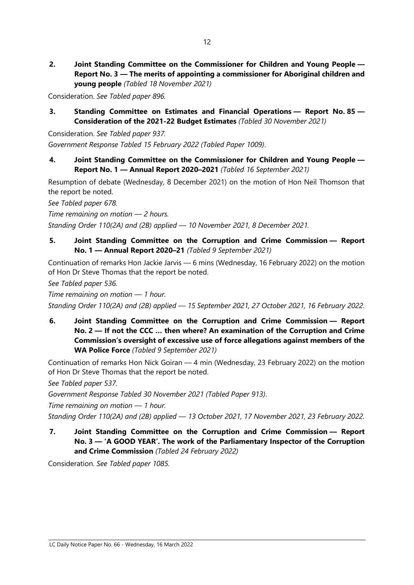2. Joint Standing Committee on the Commissioner for Children and Young People — Report No. 3 — The merits of appointing a commissioner for Aboriginal children and young people (Tabled 18 November 2021)

Consideration. See Tabled paper 896.

3. Standing Committee on Estimates and Financial Operations — Report No. 85 — Consideration of the 2021-22 Budget Estimates (Tabled 30 November 2021)

Consideration. See Tabled paper 937. Government Response Tabled 15 February 2022 (Tabled Paper 1009).

4. Joint Standing Committee on the Commissioner for Children and Young People — Report No. 1 — Annual Report 2020–2021 (Tabled 16 September 2021)

Resumption of debate (Wednesday, 8 December 2021) on the motion of Hon Neil Thomson that the report be noted.

See Tabled paper 678.

Time remaining on motion — 2 hours.

Standing Order 110(2A) and (2B) applied — 10 November 2021, 8 December 2021.

5. Joint Standing Committee on the Corruption and Crime Commission — Report No. 1 — Annual Report 2020–21 (Tabled 9 September 2021)

Continuation of remarks Hon Jackie Jarvis — 6 mins (Wednesday, 16 February 2022) on the motion of Hon Dr Steve Thomas that the report be noted.

See Tabled paper 536.

Time remaining on motion — 1 hour.

Standing Order 110(2A) and (2B) applied — 15 September 2021, 27 October 2021, 16 February 2022.

6. Joint Standing Committee on the Corruption and Crime Commission — Report No. 2 — If not the CCC … then where? An examination of the Corruption and Crime Commission's oversight of excessive use of force allegations against members of the WA Police Force (Tabled 9 September 2021)

Continuation of remarks Hon Nick Goiran — 4 min (Wednesday, 23 February 2022) on the motion of Hon Dr Steve Thomas that the report be noted.

See Tabled paper 537.

Government Response Tabled 30 November 2021 (Tabled Paper 913).

Time remaining on motion — 1 hour.

Standing Order 110(2A) and (2B) applied — 13 October 2021, 17 November 2021, 23 February 2022.

7. Joint Standing Committee on the Corruption and Crime Commission — Report No. 3 — 'A GOOD YEAR'. The work of the Parliamentary Inspector of the Corruption and Crime Commission (Tabled 24 February 2022)

Consideration. See Tabled paper 1085.